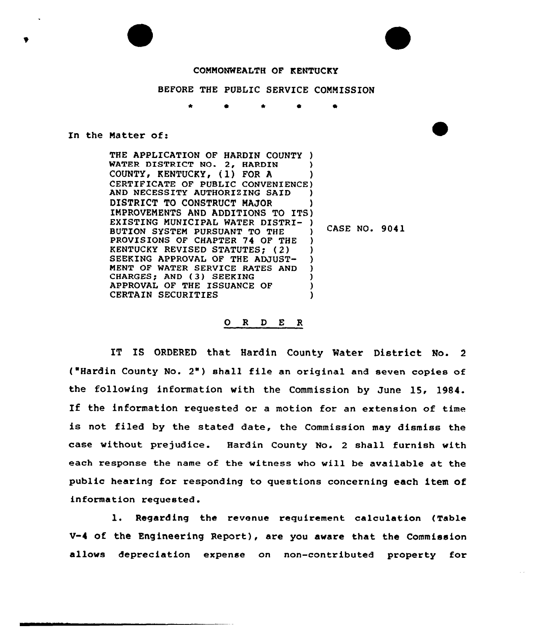## COMMONWEALTH OF KENTUCKY

## BEFORE THE PUBLIC SERVICE COMMISSION

## In the Matter of:

THE APPLICATION OF HARDIN COUNTY ) WATER DISTRICT NO. 2, HARDIN COUNTY, KENTUCKY, (1) FOR A COUNTY, KENTUCKY, (I) FOR A )<br>CERTIFICATE OF PUBLIC CONVENIENCE) AND NECESSITY AUTHORIZING SAID DISTRICT TO CONSTRUCT MAJOR UISTRICT TO CONSTRUCT MAJOR<br>IMPROVEMENTS AND ADDITIONS TO ITS) EXISTING MUNICIPAL WATER DISTRI- ) BUTION SYSTEM PURSUANT TO THE PROVISIONS OF CHAPTER 74 OF THE KENTUCKY REVISED STATUTES) (2) SEEKING APPROVAL OF THE ADJUST-MENT OF WATER SERVICE RATES AND CHARGES; AND (3) SEEKING APPROVAL OF THE ISSUANCE OF CERTAIN SECURITIES ) ) ) ) ) CASE NO. 9041 ) ) ) ) ) ) )

## 0 <sup>R</sup> <sup>D</sup> E R

IT IS ORDERED that Hardin County Water District No. 2 ('Hardin County No. 2") shall file an original and seven copies of the following information with the Commission by June 15, 1984. If the information requested or <sup>a</sup> motion for an extension of time is not filed by the stated date, the Commission may dismiss the case without prejudice. Hardin County No. 2 shall furnish with each response the name of the witness who will be available at the public hearing for responding to questions concerning each item of information requested.

1. Regarding the revenue requirement calculation (Table V-4 of the Engineering Report), are you aware that the Commission allows depreciation expense on non-contributed property for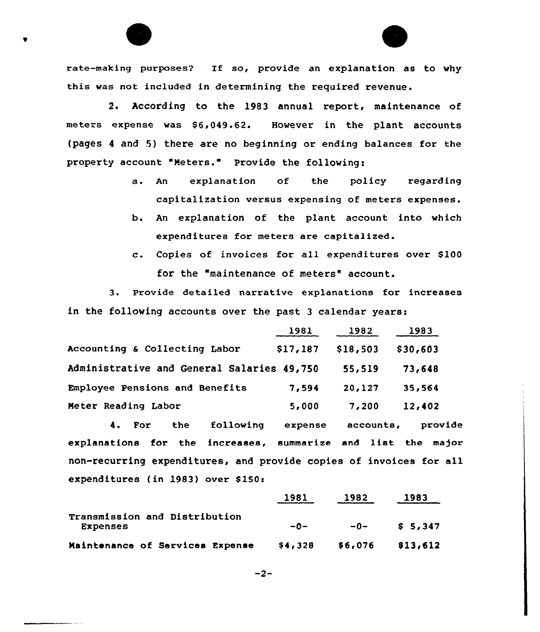rate-making purposes? If so, provide an explanation as to why this was not included in determining the required revenue.

2. According to the 1983 annual report, maintenance of meters expense was \$6,049.62. However in the plant accounts (pages <sup>4</sup> and 5) there are no beginning or ending balances for the property account "Meters." Provide the following:

- a. An explanation of the policy regarding capitalization versus expensing of meters expenses.
- b. An explanation of the plant account into which expenditures for meters are capitalized.
- c. Copies of invoices for all expenditures over \$100 for the "maintenance of meters" account.

3. Provide detailed narrative explanations for increases in the following accounts over the past 3 calendar years:

|                                            | 1981     | 1982     | 1983     |
|--------------------------------------------|----------|----------|----------|
| Accounting & Collecting Labor              | \$17,187 | \$18,503 | \$30,603 |
| Administrative and General Salaries 49,750 |          | 55,519   | 73,648   |
| Employee Pensions and Benefits             | 7,594    | 20,127   | 35,564   |
| Meter Reading Labor                        | 5,000    | 7,200    | 12,402   |

4. For the following expense accounts, provide explanations for the increases, summarize and 1ist the major non-recurring expenditures, and provide copies of invoices for all expenditures (in 1983) over \$150i

|                                                  | 1981    | 1982    | 1983               |
|--------------------------------------------------|---------|---------|--------------------|
| Transmission and Distribution<br><b>Expenses</b> | $-0-$   | $-0-$   | S <sub>5.347</sub> |
| Maintenance of Services Expense                  | \$4,328 | \$6,076 | 813,612            |

 $-2-$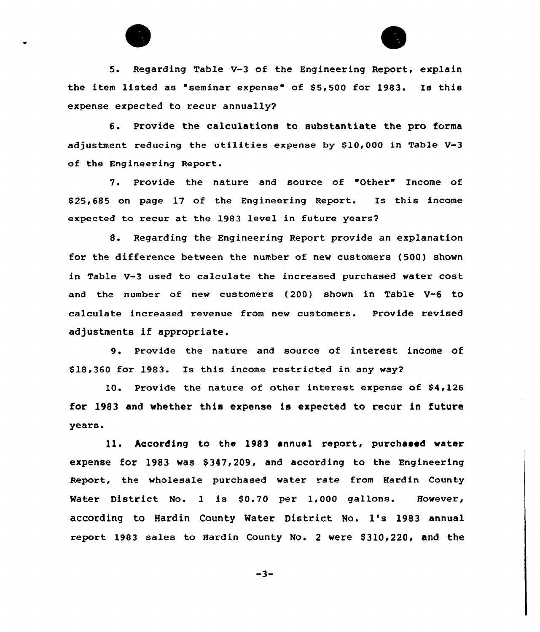



5. Regarding Table V-3 of the Engineering Report, explain the item listed as "seminar expense" of 55,500 for 1983. Is this expense expected to recur annually?

6. Provide the calculations to substantiate the pro forms adjustment reducing the utilities expense by \$10,000 in Table  $V=3$ of the Engineering Report.

7. Provide the nature and source of "Other" Income of \$ 25,685 on page 17 of the Engineering Report. Is this income expected to recur at, the 1983 level in future years?

8. Regarding the Engineering Report provide an explanation for the difference between the number of new customers (500) shown in Table V-3 used to calculate the increased purchased water cost and the number of new customers (200} shown in Table V-6 to calculate increased revenue from new customers. Provide revised adjustments if appropriate.

9. Provide the nature and source of interest income of \$ 18,360 for 1983. Is this income restricted in any way?

10. Provide the nature of other interest expense of \$4,126 for 1983 and whether this expense is expected to recur in future years.

11. According to the 1983 annual report, purchased water expense for 1983 was \$347,209, and according to the Engineering Report, the wholesale purchased water rate from Hardin County Water District No. 1 is \$0.70 per 1,000 gallons. However, according to Hardin County Water District No. 1's 1983 annual report 1983 sales to Hardin County No. 2 were \$310,220, and the

 $-3-$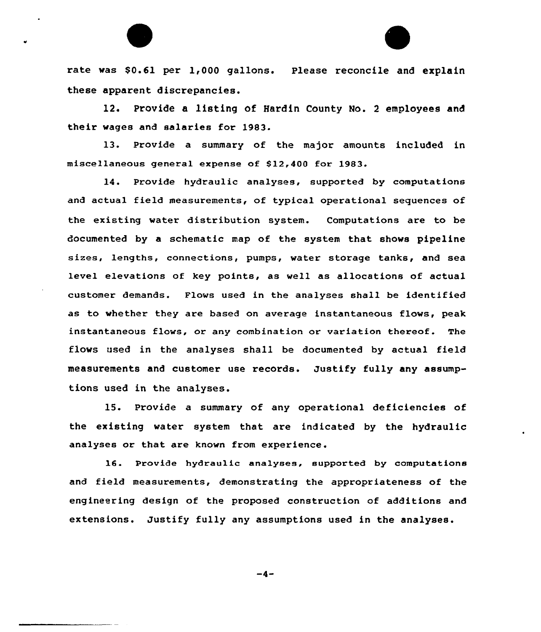rate was \$0.61 per 1,000 gallons. Please reconcile and explain these apparent discrepancies.

12. Provide a listing of Hardin County No. <sup>2</sup> employees and their wages and salaries for 1983.

13. Provide a summary of the major amounts included in miscellaneous general expense of S12,400 for 1983.

14. Provide hydraulic analyses, supported by computations and actual field measurements, of typical operational sequences of the existing water distribution system. Computations are to be documented by a schematic map of the system that shows pipeline sizes, lengths, connections, pumps, water storage tanks, and sea leve1 elevations of key points, as well as allocations of actual customer demands. Flows used in the analyses shall be identified as to whether they are based on average instantaneous flows, peak instantaneous flows, or any combination or variation thereof. The flows used in the analyses shall be documented by actual field measurements and customer use records. Justify fully any assumptions used in the analyses.

15. Provide a summary of any operational deficiencies of the existing water system that are indicated by the hydraulic analyses or that are known from experience.

16. Provide hydraulic analyses, supported by computations and field measurements, demonstrating the appropriateness of the engineering design of the proposed construction of additions and extensions. Justify fully any assumptions used in the analyses.

 $-4-$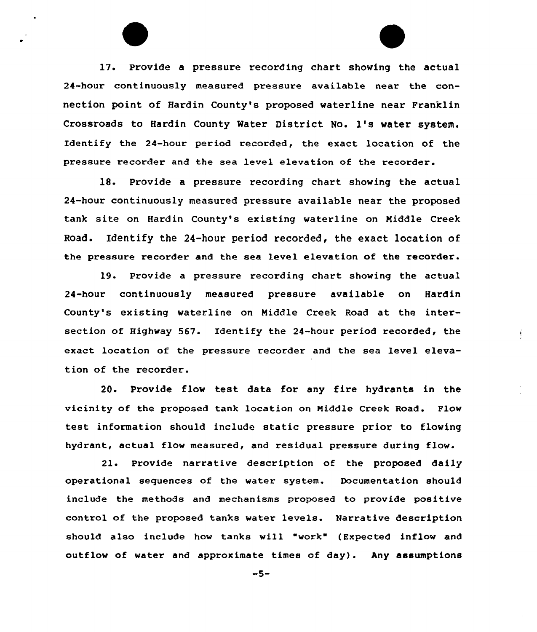17. Provide a pressure recording chart showing the actual 24-hour continuously measured pressure available near the connection point of Hardin County's proposed waterline near Franklin Crossroads to Hardin County Mater District No. 1's water system. Identify the 24-hour period recorded, the exact location of the pressure recorder and the sea level elevation of the recorder.

18. Provide a pressure recording chart showing the actual 24-hour continuously measured pressure available near the proposed tank site on Hardin County's existing waterline on Middle Creek Road. Identify the 24-hour period recorded, the exact location of the pressure recorder and the sea level elevation of the recorder.

19. Provide a pressure recording chart showing the actual 24-hour continuously measured pressure available on Hardin County's existing waterline on Middle Creek Road at the intersection of Highway 567. Identify the 24-hour period recorded, the exact location of the pressure recorder and the sea level elevation of the recorder.

20. Provide flow test data for any fire hydrants in the vicinity of the proposed tank location on Middle Creek Road. Flow test information should include static pressure prior to flowing hydrant, actual flow measured, and residual pressure during flow.

21. Provide narrative description of the proposed daily operational sequences of the water system. Documentation should include the methods and mechanisms proposed to provide positive control of the proposed tanks water levels. Narrative description should also include hov tanks vill "vork" ( Expected inflow and outflow of water and approximate times of day) . Any assumptions

 $-5-$